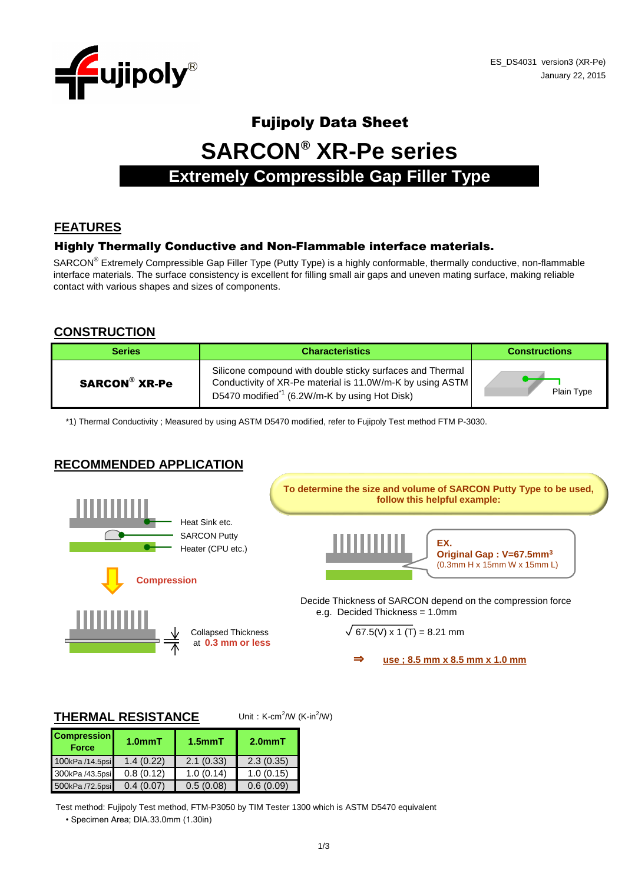

# Fujipoly Data Sheet **SARCON® XR-Pe series Extremely Compressible Gap Filler Type**

# **FEATURES**

#### Highly Thermally Conductive and Non-Flammable interface materials.

SARCON<sup>®</sup> Extremely Compressible Gap Filler Type (Putty Type) is a highly conformable, thermally conductive, non-flammable interface materials. The surface consistency is excellent for filling small air gaps and uneven mating surface, making reliable contact with various shapes and sizes of components.

#### **CONSTRUCTION**

| <b>Series</b> | <b>Characteristics</b>                                                                                                                                                              | <b>Constructions</b> |
|---------------|-------------------------------------------------------------------------------------------------------------------------------------------------------------------------------------|----------------------|
| SARCON® XR-Pe | Silicone compound with double sticky surfaces and Thermal<br>Conductivity of XR-Pe material is 11.0W/m-K by using ASTM<br>D5470 modified <sup>*1</sup> (6.2W/m-K by using Hot Disk) | Plain Type           |

\*1) Thermal Conductivity ; Measured by using ASTM D5470 modified, refer to Fujipoly Test method FTM P-3030.

# **RECOMMENDED APPLICATION**



#### **THERMAL RESISTANCE**

Unit: K-cm<sup>2</sup>/W (K-in<sup>2</sup>/W)

| <b>Compression</b><br><b>Force</b> | 1.0 <sub>mm</sub> T | $1.5$ mm $T$ | $2.0mm$ T |
|------------------------------------|---------------------|--------------|-----------|
| 100kPa /14.5psi                    | 1.4(0.22)           | 2.1(0.33)    | 2.3(0.35) |
| 300kPa /43.5psi                    | 0.8(0.12)           | 1.0(0.14)    | 1.0(0.15) |
| 500kPa /72.5psi                    | 0.4(0.07)           | 0.5(0.08)    | 0.6(0.09) |

Test method: Fujipoly Test method, FTM-P3050 by TIM Tester 1300 which is ASTM D5470 equivalent

• Specimen Area; DIA.33.0mm (1.30in)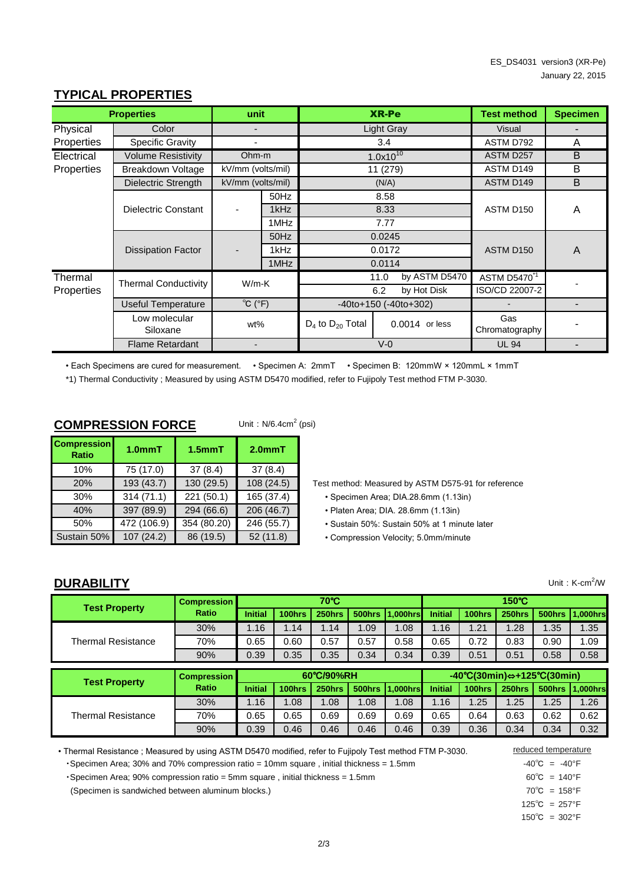|            | <b>Properties</b>           | unit                          |      |                             | <b>XR-Pe</b>   |                | <b>Test method</b>       | <b>Specimen</b> |
|------------|-----------------------------|-------------------------------|------|-----------------------------|----------------|----------------|--------------------------|-----------------|
| Physical   | Color                       |                               |      | <b>Light Gray</b>           |                | Visual         |                          |                 |
| Properties | <b>Specific Gravity</b>     |                               | 3.4  |                             | ASTM D792      | A              |                          |                 |
| Electrical | Volume Resistivity          | Ohm-m                         |      | $1.0x10^{10}$               |                |                | ASTM D257                | B               |
| Properties | Breakdown Voltage           | kV/mm (volts/mil)             |      |                             | 11 (279)       |                | ASTM D149                | B               |
|            | Dielectric Strength         | kV/mm (volts/mil)             |      |                             | (N/A)          |                | ASTM D149                | B               |
|            |                             |                               | 50Hz |                             | 8.58           |                |                          |                 |
|            | Dielectric Constant         |                               | 1kHz |                             | 8.33           |                | ASTM D150                | A               |
|            | 1MHz<br>7.77                |                               |      |                             |                |                |                          |                 |
|            |                             |                               | 50Hz |                             | 0.0245         |                |                          |                 |
|            | <b>Dissipation Factor</b>   |                               | 1kHz |                             | 0.0172         |                | ASTM D150                | $\overline{A}$  |
|            |                             |                               | 1MHz |                             | 0.0114         |                |                          |                 |
| Thermal    | <b>Thermal Conductivity</b> |                               |      |                             | 11.0           | by ASTM D5470  | ASTM D5470 <sup>-1</sup> |                 |
| Properties |                             | $W/m-K$<br>6.2<br>by Hot Disk |      |                             | ISO/CD 22007-2 |                |                          |                 |
|            | Useful Temperature          | $^{\circ}C$ ( $^{\circ}F$ )   |      | $-40$ to+150 $(-40$ to+302) |                |                | $\blacksquare$           |                 |
|            | Low molecular<br>Siloxane   | wt%                           |      | $D_4$ to $D_{20}$ Total     |                | 0.0014 or less | Gas<br>Chromatography    |                 |
|            | <b>Flame Retardant</b>      |                               |      | $V - 0$                     |                | <b>UL 94</b>   |                          |                 |

## **TYPICAL PROPERTIES**

• Each Specimens are cured for measurement. • Specimen A: 2mmT • Specimen B: 120mmW × 120mmL × 1mmT

\*1) Thermal Conductivity ; Measured by using ASTM D5470 modified, refer to Fujipoly Test method FTM P-3030.

#### **COMPRESSION FORCE**

Unit:  $N/6.4$ cm<sup>2</sup> (psi)

| <b>Compression</b><br><b>Ratio</b> | 1.0 <sub>mm</sub> T | $1.5$ mm $T$ | $2.0mm$ T  |  |  |
|------------------------------------|---------------------|--------------|------------|--|--|
| 10%                                | 75 (17.0)           | 37(8.4)      | 37(8.4)    |  |  |
| 20%                                | 193 (43.7)          | 130 (29.5)   | 108 (24.5) |  |  |
| 30%                                | 314(71.1)           | 221 (50.1)   | 165 (37.4) |  |  |
| 40%                                | 397 (89.9)          | 294 (66.6)   | 206 (46.7) |  |  |
| 50%                                | 472 (106.9)         | 354 (80.20)  | 246 (55.7) |  |  |
| Sustain 50%                        | 107 (24.2)          | 86 (19.5)    | 52(11.8)   |  |  |

Test method: Measured by ASTM D575-91 for reference

- Specimen Area; DIA.28.6mm (1.13in)
- Platen Area; DIA. 28.6mm (1.13in)
- Sustain 50%: Sustain 50% at 1 minute later
- Compression Velocity; 5.0mm/minute

## **DURABILITY**

Unit:  $K-cm^2/W$ 

| <b>Test Property</b>      | <b>Compression</b> | $70^{\circ}$ C |        |            |               | $150^{\circ}$ C                                                          |                |        |        |               |             |
|---------------------------|--------------------|----------------|--------|------------|---------------|--------------------------------------------------------------------------|----------------|--------|--------|---------------|-------------|
|                           | Ratio              | <b>Initial</b> | 100hrs | 250hrs     | 500hrs        | 1.000hrs                                                                 | <b>Initial</b> | 100hrs | 250hrs | 500hrs        | $.000$ hrsl |
|                           | 30%                | 1.16           | 1.14   | 1.14       | 1.09          | 1.08                                                                     | 1.16           | 1.21   | 1.28   | 1.35          | 1.35        |
| <b>Thermal Resistance</b> | 70%                | 0.65           | 0.60   | 0.57       | 0.57          | 0.58                                                                     | 0.65           | 0.72   | 0.83   | 0.90          | 1.09        |
|                           | 90%                | 0.39           | 0.35   | 0.35       | 0.34          | 0.34                                                                     | 0.39           | 0.51   | 0.51   | 0.58          | 0.58        |
|                           |                    |                |        |            |               | $-40^{\circ}C(30\text{min}) \Leftrightarrow +125^{\circ}C(30\text{min})$ |                |        |        |               |             |
|                           |                    |                |        |            |               |                                                                          |                |        |        |               |             |
|                           | <b>Compression</b> |                |        | 60°C/90%RH |               |                                                                          |                |        |        |               |             |
| <b>Test Property</b>      | Ratio              | <b>Initial</b> | 100hrs | 250hrs     | <b>500hrs</b> | $.000$ hrs                                                               | <b>Initial</b> | 100hrs | 250hrs | <b>500hrs</b> | 1.000hrs    |
|                           | 30%                | 1.16           | 1.08   | 0.08       | 1.08          | 1.08                                                                     | 1.16           | 1.25   | 1.25   | 1.25          | 1.26        |
| <b>Thermal Resistance</b> | 70%                | 0.65           | 0.65   | 0.69       | 0.69          | 0.69                                                                     | 0.65           | 0.64   | 0.63   | 0.62          | 0.62        |

• Thermal Resistance ; Measured by using ASTM D5470 modified, refer to Fujipoly Test method FTM P-3030.

• Specimen Area; 30% and 70% compression ratio = 10mm square, initial thickness = 1.5mm -40℃ = -40°F

•Specimen Area; 90% compression ratio = 5mm square , initial thickness = 1.5mm 60°C = 140°F

(Specimen is sandwiched between aluminum blocks.) 70℃ = 158°F

reduced temperature

125℃ = 257°F

150℃ = 302°F